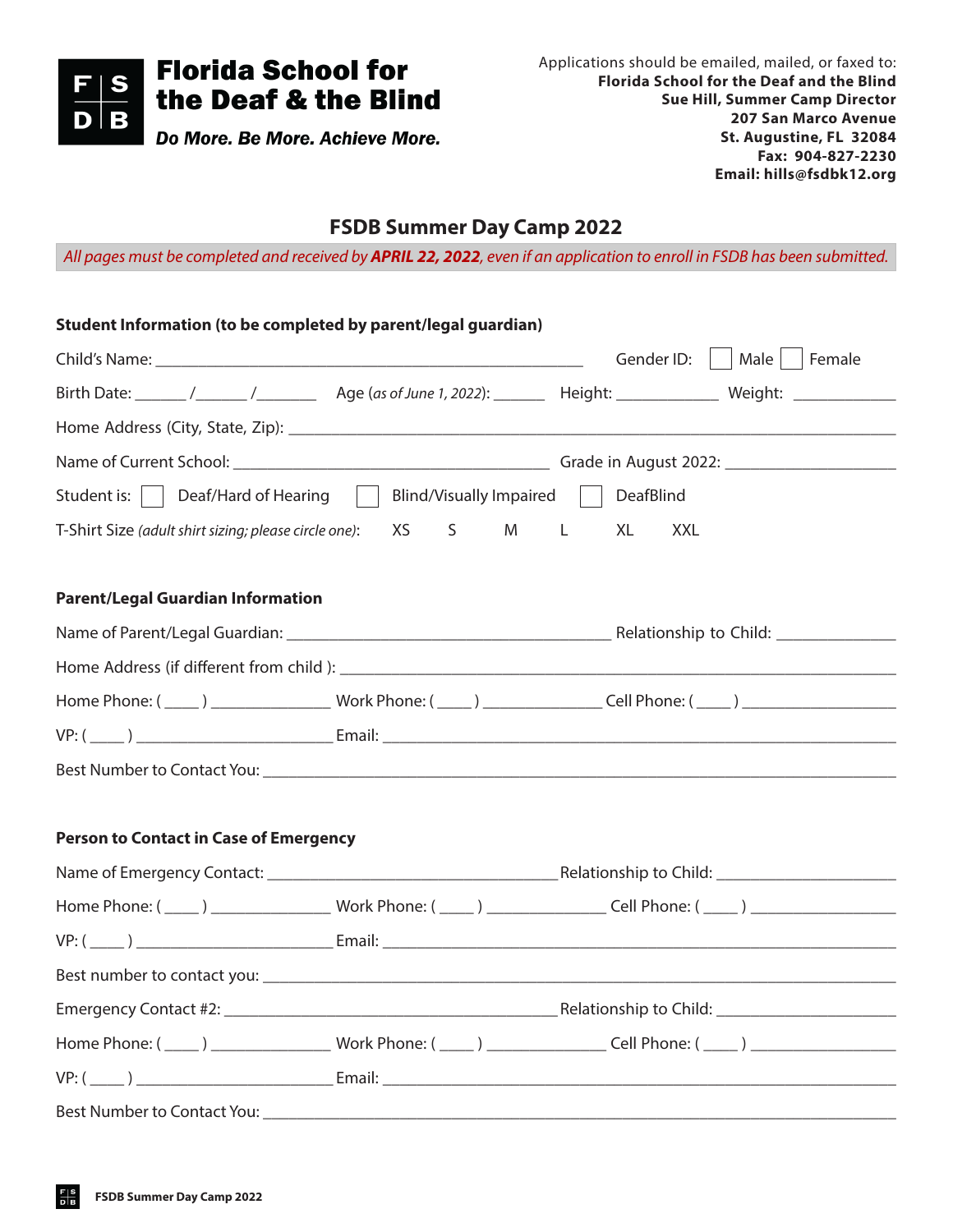

## **FSDB Summer Day Camp 2022**

*All pages must be completed and received by APRIL 22, 2022, even if an application to enroll in FSDB has been submitted.*

| Student Information (to be completed by parent/legal guardian)                 |             |                                                                                                                                                                                                                                |
|--------------------------------------------------------------------------------|-------------|--------------------------------------------------------------------------------------------------------------------------------------------------------------------------------------------------------------------------------|
|                                                                                |             | Male     Female<br>Gender ID:                                                                                                                                                                                                  |
|                                                                                |             |                                                                                                                                                                                                                                |
|                                                                                |             |                                                                                                                                                                                                                                |
|                                                                                |             |                                                                                                                                                                                                                                |
| Student is:     Deaf/Hard of Hearing     Blind/Visually Impaired     DeafBlind |             |                                                                                                                                                                                                                                |
| T-Shirt Size (adult shirt sizing; please circle one):                          | XS<br>S M L | XL<br><b>XXL</b>                                                                                                                                                                                                               |
| <b>Parent/Legal Guardian Information</b>                                       |             |                                                                                                                                                                                                                                |
|                                                                                |             |                                                                                                                                                                                                                                |
|                                                                                |             |                                                                                                                                                                                                                                |
|                                                                                |             | Home Phone: (\budd(\budd(\budd(\budd(\budd(\budd)) \budd(\budd)) \budd(\budd)) \budd(\budd)) \budd(\budd)) \budd(\budd) \budd(\budd)) \budd(\budd) \budd(\budd)) \budd(\budd)) \budd(\budd) \budd(\budd)) \budd(\budd) \budd(\ |
|                                                                                |             |                                                                                                                                                                                                                                |
|                                                                                |             |                                                                                                                                                                                                                                |
| <b>Person to Contact in Case of Emergency</b>                                  |             |                                                                                                                                                                                                                                |
|                                                                                |             |                                                                                                                                                                                                                                |
|                                                                                |             | Home Phone: (\budd(\budd(\budd(\budd(\budd(\budd(\budd)) \budd(\budd(\budd)) \budd(\budd)) \budd(\budd(\budd)) \budd(\budd(\budd)) \budd(\budd(\budd)) \budd(\budd(\budd)) \budd(\budd)) \budd(\budd)) \budd(\budd)) \budd(\bu |
|                                                                                |             |                                                                                                                                                                                                                                |
|                                                                                |             |                                                                                                                                                                                                                                |
|                                                                                |             |                                                                                                                                                                                                                                |
|                                                                                |             | Home Phone: (\budd(\budd(\budd(\budd(\budd(\budd(\budd)) \budd(\budd(\budd)) \budd(\budd(\budd)) \budd(\budd(\budd)) \budd(\budd(\budd)) \budd(\budd(\budd)) \budd(\budd)) \budd(\budd)) \budd(\budd)) \budd(\budd)) \budd(\bu |
|                                                                                |             |                                                                                                                                                                                                                                |
|                                                                                |             |                                                                                                                                                                                                                                |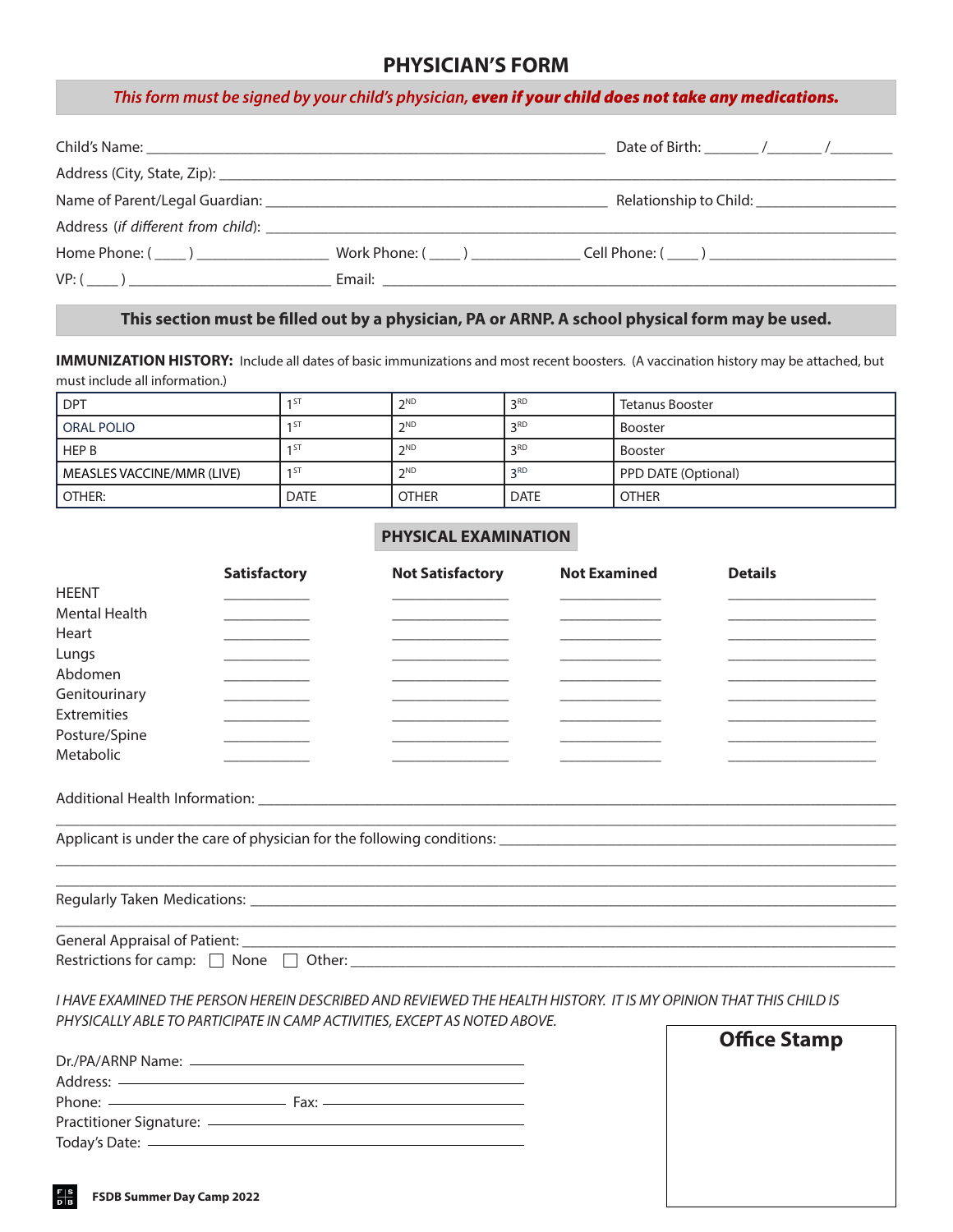### **PHYSICIAN'S FORM**

#### *This form must be signed by your child's physician, even if your child does not take any medications.*

|  | Relationship to Child: _______________________ |
|--|------------------------------------------------|
|  |                                                |
|  |                                                |
|  |                                                |

### **This section must be filled out by a physician, PA or ARNP. A school physical form may be used.**

**IMMUNIZATION HISTORY:** Include all dates of basic immunizations and most recent boosters. (A vaccination history may be attached, but must include all information.)

| <b>DPT</b>                 |                 | <b>つND</b>   | 2RD         | Tetanus Booster     |
|----------------------------|-----------------|--------------|-------------|---------------------|
| <b>ORAL POLIO</b>          | 151             | <b>つND</b>   | 2RD         | <b>Booster</b>      |
| <b>HEP B</b>               | 1 S I           | <b>つND</b>   | 2RD         | <b>Booster</b>      |
| MEASLES VACCINE/MMR (LIVE) | 1 <sub>51</sub> | <b>CND</b>   | 2RD         | PPD DATE (Optional) |
| OTHER:                     | <b>DATE</b>     | <b>OTHER</b> | <b>DATE</b> | <b>OTHER</b>        |

### **PHYSICAL EXAMINATION**

|                                           | <b>Satisfactory</b> | <b>Not Satisfactory</b> | <b>Not Examined</b> | <b>Details</b> |  |
|-------------------------------------------|---------------------|-------------------------|---------------------|----------------|--|
| <b>HEENT</b>                              |                     |                         |                     |                |  |
| <b>Mental Health</b>                      |                     |                         |                     |                |  |
| Heart                                     |                     |                         |                     |                |  |
| Lungs                                     |                     |                         |                     |                |  |
| Abdomen                                   |                     |                         |                     |                |  |
| Genitourinary                             |                     |                         |                     |                |  |
| <b>Extremities</b>                        |                     |                         |                     |                |  |
| Posture/Spine                             |                     |                         |                     |                |  |
| Metabolic                                 |                     |                         |                     |                |  |
|                                           |                     |                         |                     |                |  |
|                                           |                     |                         |                     |                |  |
|                                           |                     |                         |                     |                |  |
|                                           |                     |                         |                     |                |  |
|                                           |                     |                         |                     |                |  |
|                                           |                     |                         |                     |                |  |
| Restrictions for camp: $\Box$ None $\Box$ |                     |                         |                     |                |  |

*I HAVE EXAMINED THE PERSON HEREIN DESCRIBED AND REVIEWED THE HEALTH HISTORY. IT IS MY OPINION THAT THIS CHILD IS PHYSICALLY ABLE TO PARTICIPATE IN CAMP ACTIVITIES, EXCEPT AS NOTED ABOVE.* 

| Dr./PA/ARNP Name: __________  |
|-------------------------------|
|                               |
|                               |
| Practitioner Signature: ————— |
|                               |

| <b>Office Stamp</b> |  |
|---------------------|--|
|                     |  |
|                     |  |
|                     |  |
|                     |  |
|                     |  |
|                     |  |
|                     |  |
|                     |  |
|                     |  |
|                     |  |
|                     |  |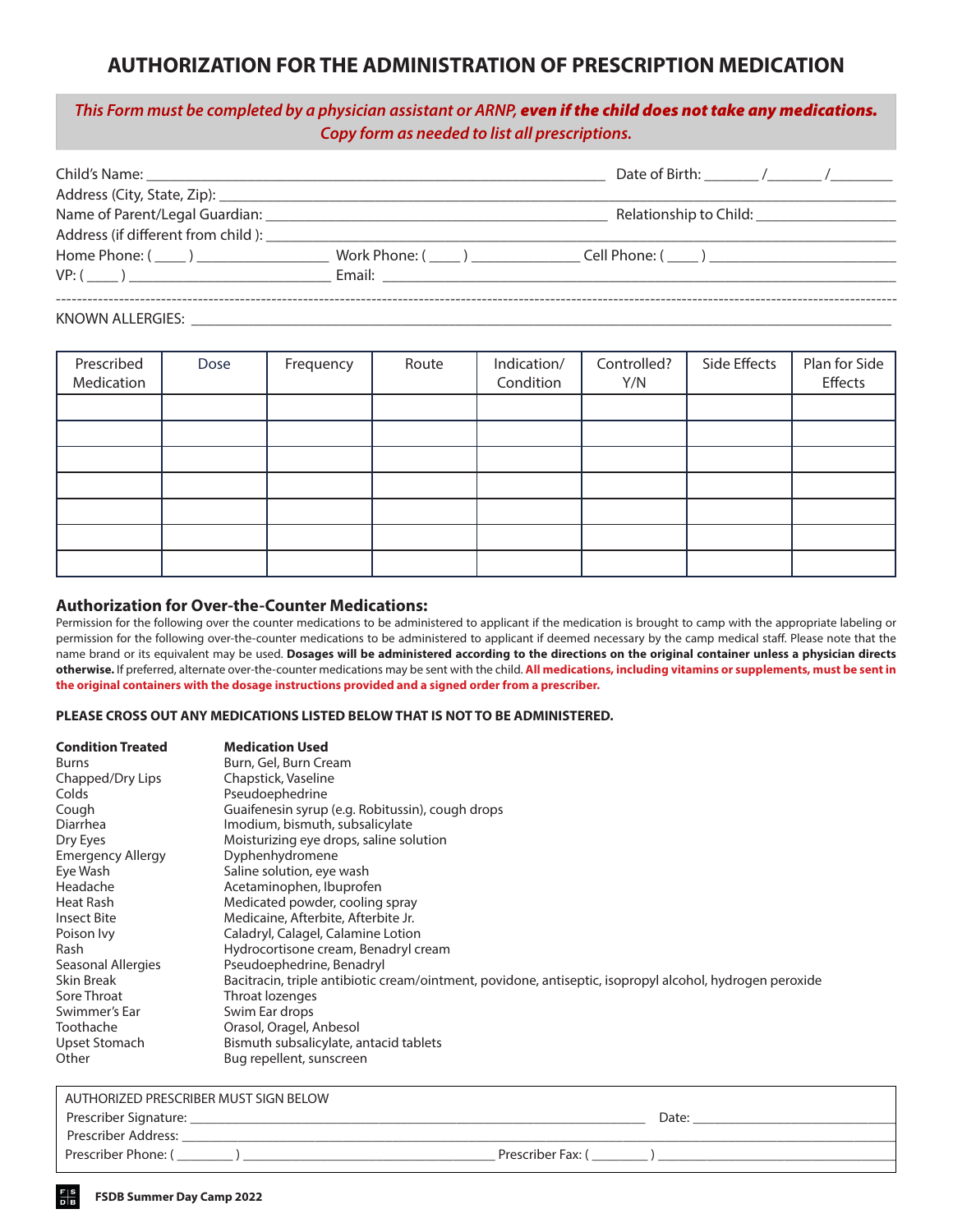## **AUTHORIZATION FOR THE ADMINISTRATION OF PRESCRIPTION MEDICATION**

### *This Form must be completed by a physician assistant or ARNP, even if the child does not take any medications. Copy form as needed to list all prescriptions.*

|                      | Relationship to Child: Nellationship                           |
|----------------------|----------------------------------------------------------------|
|                      |                                                                |
| Home Phone: $(\_\_)$ | $Work Phone: (________ )$ $— ______$ $Cell Phone: (________ )$ |
|                      |                                                                |
|                      |                                                                |
|                      |                                                                |

KNOWN ALLERGIES: \_\_\_\_\_\_\_\_\_\_\_\_\_\_\_\_\_\_\_\_\_\_\_\_\_\_\_\_\_\_\_\_\_\_\_\_\_\_\_\_\_\_\_\_\_\_\_\_\_\_\_\_\_\_\_\_\_\_\_\_\_\_\_\_\_\_\_\_\_\_\_\_\_\_\_\_\_\_\_\_\_\_\_\_\_\_\_\_\_\_

| Prescribed<br>Medication | Dose | Frequency | Route | Indication/<br>Condition | Controlled?<br>Y/N | Side Effects | Plan for Side<br>Effects |
|--------------------------|------|-----------|-------|--------------------------|--------------------|--------------|--------------------------|
|                          |      |           |       |                          |                    |              |                          |
|                          |      |           |       |                          |                    |              |                          |
|                          |      |           |       |                          |                    |              |                          |
|                          |      |           |       |                          |                    |              |                          |
|                          |      |           |       |                          |                    |              |                          |
|                          |      |           |       |                          |                    |              |                          |
|                          |      |           |       |                          |                    |              |                          |

#### **Authorization for Over-the-Counter Medications:**

Permission for the following over the counter medications to be administered to applicant if the medication is brought to camp with the appropriate labeling or permission for the following over-the-counter medications to be administered to applicant if deemed necessary by the camp medical staff. Please note that the name brand or its equivalent may be used. **Dosages will be administered according to the directions on the original container unless a physician directs otherwise.** If preferred, alternate over-the-counter medications may be sent with the child. **All medications, including vitamins or supplements, must be sent in the original containers with the dosage instructions provided and a signed order from a prescriber.**

#### **PLEASE CROSS OUT ANY MEDICATIONS LISTED BELOW THAT IS NOT TO BE ADMINISTERED.**

| <b>Condition Treated</b> | <b>Medication Used</b>                                                                                   |
|--------------------------|----------------------------------------------------------------------------------------------------------|
| Burns                    | Burn, Gel, Burn Cream                                                                                    |
| Chapped/Dry Lips         | Chapstick, Vaseline                                                                                      |
| Colds                    | Pseudoephedrine                                                                                          |
| Cough                    | Guaifenesin syrup (e.g. Robitussin), cough drops                                                         |
| Diarrhea                 | Imodium, bismuth, subsalicylate                                                                          |
| Dry Eyes                 | Moisturizing eye drops, saline solution                                                                  |
| Emergency Allergy        | Dyphenhydromene                                                                                          |
| Eye Wash                 | Saline solution, eye wash                                                                                |
| Headache                 | Acetaminophen, Ibuprofen                                                                                 |
| Heat Rash                | Medicated powder, cooling spray                                                                          |
| <b>Insect Bite</b>       | Medicaine, Afterbite, Afterbite Jr.                                                                      |
| Poison Ivy               | Caladryl, Calagel, Calamine Lotion                                                                       |
| Rash                     | Hydrocortisone cream, Benadryl cream                                                                     |
| Seasonal Allergies       | Pseudoephedrine, Benadryl                                                                                |
| Skin Break               | Bacitracin, triple antibiotic cream/ointment, povidone, antiseptic, isopropyl alcohol, hydrogen peroxide |
| Sore Throat              | Throat lozenges                                                                                          |
| Swimmer's Ear            | Swim Ear drops                                                                                           |
| Toothache                | Orasol, Oragel, Anbesol                                                                                  |
| Upset Stomach            | Bismuth subsalicylate, antacid tablets                                                                   |
| Other                    | Bug repellent, sunscreen                                                                                 |

| AUTHORIZED PRESCRIBER MUST SIGN BELOW |                   |
|---------------------------------------|-------------------|
| Prescriber Signature:                 | Date:             |
| Prescriber Address:                   |                   |
| Prescriber Phone: (                   | Prescriber Fax: ( |
|                                       |                   |

l,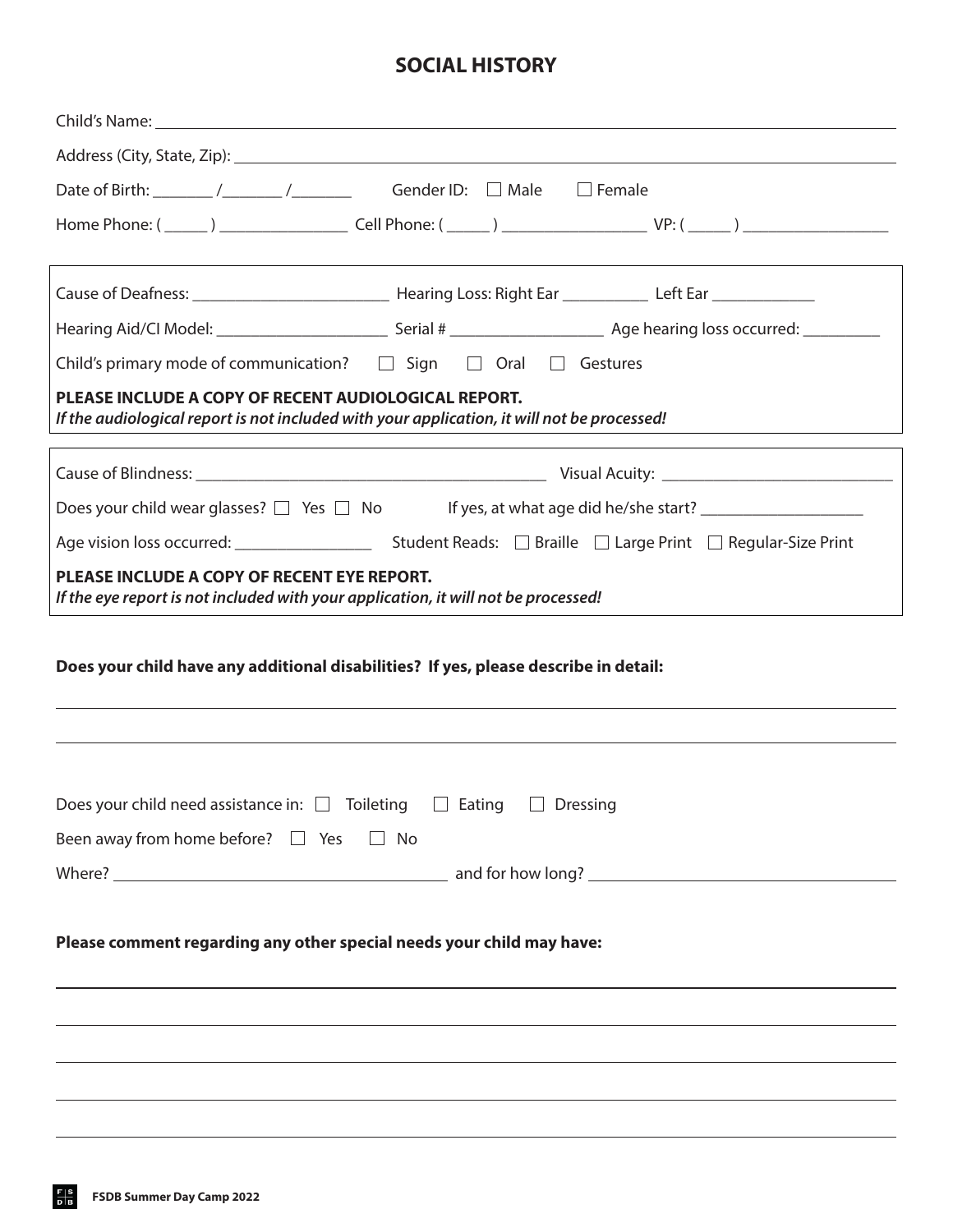## **SOCIAL HISTORY**

| Date of Birth: _______ /_______ /_________ Gender ID: □ Male □ Female                                                                                                     |
|---------------------------------------------------------------------------------------------------------------------------------------------------------------------------|
|                                                                                                                                                                           |
|                                                                                                                                                                           |
|                                                                                                                                                                           |
| Child's primary mode of communication? $\Box$ Sign $\Box$ Oral $\Box$ Gestures                                                                                            |
| PLEASE INCLUDE A COPY OF RECENT AUDIOLOGICAL REPORT.<br>If the audiological report is not included with your application, it will not be processed!                       |
|                                                                                                                                                                           |
| Does your child wear glasses? □ Yes □ No If yes, at what age did he/she start? ____________________                                                                       |
|                                                                                                                                                                           |
| PLEASE INCLUDE A COPY OF RECENT EYE REPORT.<br>If the eye report is not included with your application, it will not be processed!                                         |
| Does your child have any additional disabilities? If yes, please describe in detail:<br>,我们也不能会有什么。""我们的人,我们也不能会有什么?""我们的人,我们也不能会有什么?""我们的人,我们也不能会有什么?""我们的人,我们也不能会有什么?"" |
| Does your child need assistance in: $\Box$ Toileting $\Box$ Eating $\Box$ Dressing<br>Been away from home before? $\Box$ Yes $\Box$ No                                    |
|                                                                                                                                                                           |